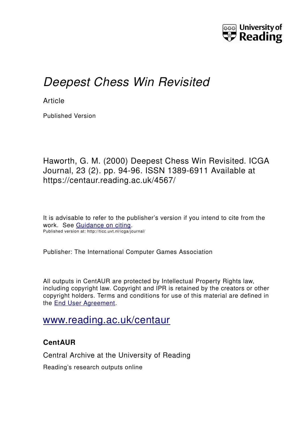

# *Deepest Chess Win Revisited*

**Article** 

Published Version

Haworth, G. M. (2000) Deepest Chess Win Revisited. ICGA Journal, 23 (2). pp. 94-96. ISSN 1389-6911 Available at https://centaur.reading.ac.uk/4567/

It is advisable to refer to the publisher's version if you intend to cite from the work. See [Guidance on citing.](http://centaur.reading.ac.uk/71187/10/CentAUR%20citing%20guide.pdf) Published version at: http://ticc.uvt.nl/icga/journal/

Publisher: The International Computer Games Association

All outputs in CentAUR are protected by Intellectual Property Rights law, including copyright law. Copyright and IPR is retained by the creators or other copyright holders. Terms and conditions for use of this material are defined in the [End User Agreement.](http://centaur.reading.ac.uk/licence)

## [www.reading.ac.uk/centaur](http://www.reading.ac.uk/centaur)

### **CentAUR**

Central Archive at the University of Reading

Reading's research outputs online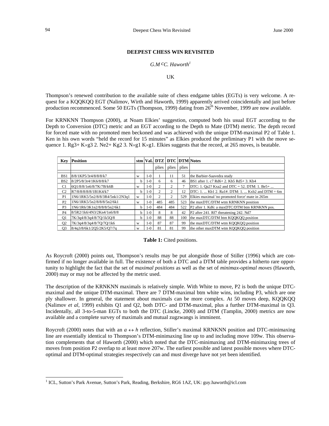#### **DEEPEST CHESS WIN REVISITED**

#### *G.M cC. Haworth1*

#### UK

Thompson's renewed contribution to the available suite of chess endgame tables (EGTs) is very welcome. A request for a KQQKQQ EGT (Nalimov, Wirth and Haworth, 1999) apparently arrived coincidentally and just before production recommenced. Some 50 EGTs (Thompson, 1999) dating from 26<sup>th</sup> November, 1999 are now available.

For KRNKNN Thompson (2000), at Noam Elkies' suggestion, computed both his usual EGT according to the Depth to Conversion (DTC) metric and an EGT according to the Depth to Mate (DTM) metric. The depth record for forced mate with no promoted men beckoned and was achieved with the unique DTM-maximal P2 of Table 1. Ken in his own words "held the record for 15 minutes" as Elkies produced the preliminary P1 with the move sequence 1. Rg3+ K×g3 2. Ne2+ Kg2 3. N×g1 K×g1. Elkies suggests that the record, at 265 moves, is beatable.

| Key             | <b>Position</b>                 | stm | Val.  |                    |       |               | <b>DTZ   DTC   DTM   Notes</b>                   |
|-----------------|---------------------------------|-----|-------|--------------------|-------|---------------|--------------------------------------------------|
|                 |                                 |     |       | plies <sup>1</sup> | plies | plies         |                                                  |
|                 |                                 |     |       |                    |       |               |                                                  |
| BS1             | 8/8/1KP5/3r4/8/8/8/k7           | W   | $1-0$ |                    | 11    | 51            | the Barbier-Saavedra study                       |
| B <sub>S2</sub> | 8/2P5/8/3r4/1K6/8/8/k7          | h   | $1-0$ | 6                  | 6     | 46            | BS1 after 1, c7 Rd6+ 2, Kb5 Rd5+ 3, Kb4          |
| C <sub>1</sub>  | 6Q1/8/8/1n6/8/7K/7B/k6B         | w   | $1-0$ | $\mathfrak{D}$     | 2     | $\mathcal{I}$ | DTC: 1. Qa2? Kxa2 and DTC = 52. DTM: 1. Be5+     |
| C <sub>2</sub>  | R7/8/8/8/8/8/1B1K4/k7           | h   | $1-0$ | $\mathfrak{D}$     | 2     | 12            | DTC: 1.  Kb1 2. Ra1#. DTM: 1.  Kxb2 and DTM = 6m |
| P <sub>1</sub>  | 1N6/1RK5/5n2/8/8/3R4/5nk1/2N3a1 | W   | 1-0   | 2                  | 2     | 529           | Elkies maximal 'no promoted force' mate in 265m  |
| P <sub>2</sub>  | 1N6/1RK5/5n2/8/8/8/5n2/6k1      | W   | $1-0$ | 485                | 485   | 523           | the maxDTC/DTM wtm KRNKNN position               |
| P <sub>3</sub>  | 1N6/1R6/3K1n2/8/8/8/5n2/6k1     | b.  | $1-0$ | 484                | 484   | 522           | P2 after 1. Kd6: a maxDTC/DTM btm KRNKNN pos.    |
| P <sub>4</sub>  | 8/5R2/1k6/4N3/2Kn4/1n6/8/8      | h   | $1-0$ | 8                  | 8     | 42            | P2 after 241. Rf7 threatening 242. Nd7           |
| Q1              | 7K/3q4/8/3q4/8/7Q/1k5Q/8        | b   | $1-0$ | 88                 | 88    | 100           | the maxDTC/DTM btm KQQKQQ position               |
| O <sub>2</sub>  | 7K/3q4/8/3q4/8/7Q/7Q/1k6        | W   | $1-0$ | 87                 | 87    | 99            | the maxDTC/DTM wtm KOOKOO position               |
| O <sub>3</sub>  | 8/4a3/8/6k1/2O5/2K5/O7/7a       | W   | $1-0$ | 81                 | 81    | 99            | the other maxDTM wtm KOOKOO position             |

#### **Table 1:** Cited positions.

As Roycroft (2000) points out, Thompson's results may be put alongside those of Stiller (1996) which are confirmed if no longer available in full. The existence of both a DTC and a DTM table provides a hitherto rare opportunity to highlight the fact that the set of *maximal positions* as well as the set of *minimax-optimal moves* (Haworth, 2000) may or may not be affected by the metric used.

The description of the KRNKNN maximals is relatively simple. With White to move, P2 is both the unique DTCmaximal and the unique DTM-maximal. There are 7 DTM-maximal btm white wins, including P3, which are one ply shallower. In general, the statement about maximals can be more complex. At 50 moves deep, KQQKQQ (Nalimov *et al*, 1999) exhibits Q1 and Q2, both DTC- and DTM-maximal, plus a further DTM-maximal in Q3. Incidentally, all 3-to-5-man EGTs to both the DTC (Lincke, 2000) and DTM (Tamplin, 2000) metrics are now available and a complete survey of maximals and mutual zugzwangs is imminent.

Roycroft (2000) notes that with an  $a \leftrightarrow h$  reflection, Stiller's maximal KRNKNN position and DTC-minimaxing line are essentially identical to Thompson's DTM-minimaxing line up to and including move 109w. This observation complements that of Haworth (2000) which noted that the DTC-minimaxing and DTM-minimaxing trees of moves from position P2 overlap to at least move 207w. The earliest possible and latest possible moves where DTCoptimal and DTM-optimal strategies respectively can and must diverge have not yet been identified.

 $\frac{1}{1}$ <sup>1</sup> ICL, Sutton's Park Avenue, Sutton's Park, Reading, Berkshire, RG6 1AZ, UK: guy.haworth@icl.com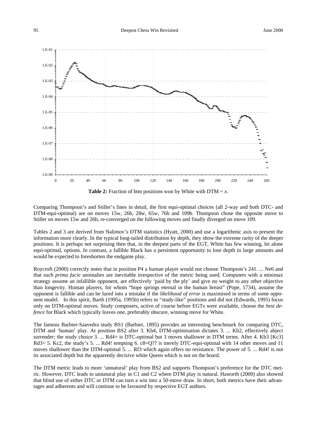



Comparing Thompson's and Stiller's lines in detail, the first equi-optimal choices (all 2-way and both DTC- and DTM-equi-optimal) are on moves 15w, 26b, 28w, 65w, 76b and 109b. Thompson chose the opposite move to Stiller on moves 15w and 26b, re-converged on the following moves and finally diverged on move 109.

Tables 2 and 3 are derived from Nalimov's DTM statistics (Hyatt, 2000) and use a logarithmic axis to present the information more clearly. In the typical long-tailed distribution by depth, they show the extreme rarity of the deeper positions. It is perhaps not surprising then that, in the deepest parts of the EGT, White has few winning, let alone equi-optimal, options. In contrast, a fallible Black has a persistent opportunity to lose depth in large amounts and would be expected to foreshorten the endgame play.

Roycroft (2000) correctly notes that in position P4 a human player would not choose Thompson's 241. ... Ne6 and that such *prima facie* anomalies are inevitable irrespective of the metric being used. Computers with a minimax strategy assume an infallible opponent, are effectively 'paid by the ply' and give no weight to any other objective than longevity. Human players, for whom "hope springs eternal in the human breast" (Pope, 1734), assume the opponent is fallible and can be lured into a mistake if the *likelihood of error* is maximised in terms of some opponent model. In this spirit, Barth (1995a, 1995b) refers to "study-like" positions and did not (Edwards, 1995) focus only on DTM-optimal moves. Study composers, active of course before EGTs were available, choose the *best defence* for Black which typically leaves one, preferably obscure, winning move for White.

The famous Barbier-Saavedra study BS1 (Barbier, 1895) provides an interesting benchmark for comparing DTC, DTM and 'human' play. At position BS2 after 3. Kb4, DTM-optimisation dictates 3. ... Kb2, effectively abject surrender: the study choice 3. ... Rd4+ is DTC-optimal but 3 moves shallower in DTM terms. After 4. Kb3 [Kc3] Rd3+ 5. Kc2, the study's 5. ... Rd4! tempting 6. c8=Q?? is merely DTC-equi-optimal with 14 other moves and 11 moves shallower than the DTM-optimal 5. ... Rf3 which again offers no resistance. The power of 5. ... Rd4! is not its associated depth but the apparently decisive white Queen which is not on the board.

The DTM metric leads to more 'unnatural' play from BS2 and supports Thompson's preference for the DTC metric. However, DTC leads to unnatural play in C1 and C2 where DTM play is natural. Haworth (2000) also showed that blind use of either DTC or DTM can turn a win into a 50-move draw. In short, both metrics have their advantages and adherents and will continue to be favoured by respective EGT authors.